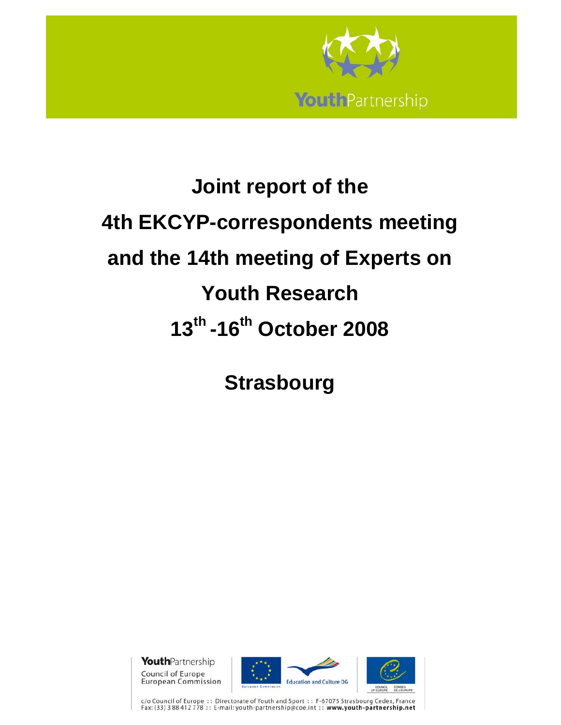

# **Joint report of the 4th EKCYP-correspondents meeting and the 14th meeting of Experts on Youth Research 13th -16th October 2008**

**Strasbourg** 

**Youth**Partnership Council of Europe **European Commission** 





c/o Council of Europe :: Directorate of Youth and Sport :: F-67075 Strasbourg Cedex, France<br>Fax: (33) 3 88 412 778 :: E-mail: youth-partnership@coe.int :: www.youth-partnership.net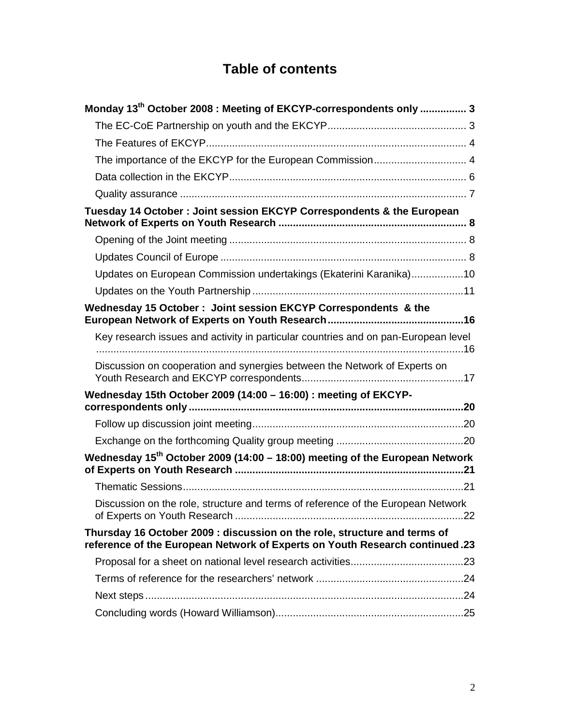# **Table of contents**

| Monday 13 <sup>th</sup> October 2008 : Meeting of EKCYP-correspondents only  3                                                                           |  |
|----------------------------------------------------------------------------------------------------------------------------------------------------------|--|
|                                                                                                                                                          |  |
|                                                                                                                                                          |  |
|                                                                                                                                                          |  |
|                                                                                                                                                          |  |
|                                                                                                                                                          |  |
| Tuesday 14 October: Joint session EKCYP Correspondents & the European                                                                                    |  |
|                                                                                                                                                          |  |
|                                                                                                                                                          |  |
| Updates on European Commission undertakings (Ekaterini Karanika)10                                                                                       |  |
|                                                                                                                                                          |  |
| Wednesday 15 October: Joint session EKCYP Correspondents & the                                                                                           |  |
| Key research issues and activity in particular countries and on pan-European level                                                                       |  |
| Discussion on cooperation and synergies between the Network of Experts on                                                                                |  |
| Wednesday 15th October 2009 (14:00 - 16:00) : meeting of EKCYP-                                                                                          |  |
|                                                                                                                                                          |  |
|                                                                                                                                                          |  |
| Wednesday $15^{th}$ October 2009 (14:00 - 18:00) meeting of the European Network                                                                         |  |
|                                                                                                                                                          |  |
| Discussion on the role, structure and terms of reference of the European Network                                                                         |  |
| Thursday 16 October 2009 : discussion on the role, structure and terms of<br>reference of the European Network of Experts on Youth Research continued.23 |  |
|                                                                                                                                                          |  |
|                                                                                                                                                          |  |
|                                                                                                                                                          |  |
|                                                                                                                                                          |  |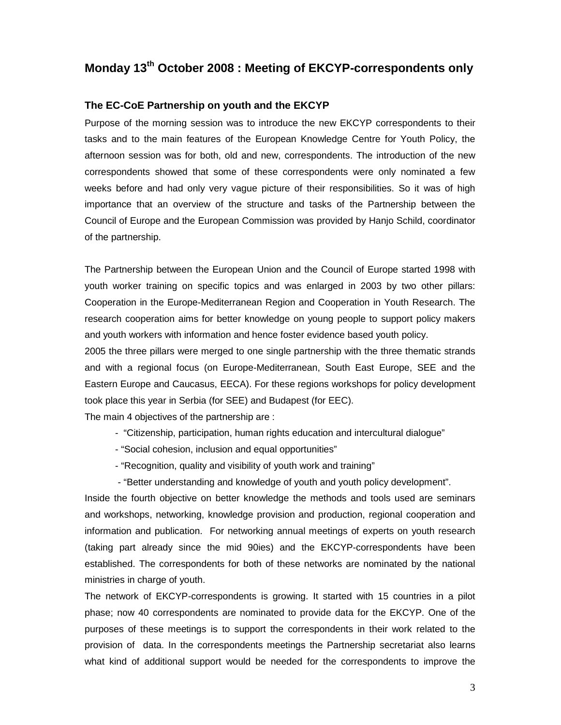# **Monday 13th October 2008 : Meeting of EKCYP-correspondents only**

### **The EC-CoE Partnership on youth and the EKCYP**

Purpose of the morning session was to introduce the new EKCYP correspondents to their tasks and to the main features of the European Knowledge Centre for Youth Policy, the afternoon session was for both, old and new, correspondents. The introduction of the new correspondents showed that some of these correspondents were only nominated a few weeks before and had only very vague picture of their responsibilities. So it was of high importance that an overview of the structure and tasks of the Partnership between the Council of Europe and the European Commission was provided by Hanjo Schild, coordinator of the partnership.

The Partnership between the European Union and the Council of Europe started 1998 with youth worker training on specific topics and was enlarged in 2003 by two other pillars: Cooperation in the Europe-Mediterranean Region and Cooperation in Youth Research. The research cooperation aims for better knowledge on young people to support policy makers and youth workers with information and hence foster evidence based youth policy.

2005 the three pillars were merged to one single partnership with the three thematic strands and with a regional focus (on Europe-Mediterranean, South East Europe, SEE and the Eastern Europe and Caucasus, EECA). For these regions workshops for policy development took place this year in Serbia (for SEE) and Budapest (for EEC).

The main 4 objectives of the partnership are :

- "Citizenship, participation, human rights education and intercultural dialogue"
- "Social cohesion, inclusion and equal opportunities"
- "Recognition, quality and visibility of youth work and training"
- "Better understanding and knowledge of youth and youth policy development".

Inside the fourth objective on better knowledge the methods and tools used are seminars and workshops, networking, knowledge provision and production, regional cooperation and information and publication. For networking annual meetings of experts on youth research (taking part already since the mid 90ies) and the EKCYP-correspondents have been established. The correspondents for both of these networks are nominated by the national ministries in charge of youth.

The network of EKCYP-correspondents is growing. It started with 15 countries in a pilot phase; now 40 correspondents are nominated to provide data for the EKCYP. One of the purposes of these meetings is to support the correspondents in their work related to the provision of data. In the correspondents meetings the Partnership secretariat also learns what kind of additional support would be needed for the correspondents to improve the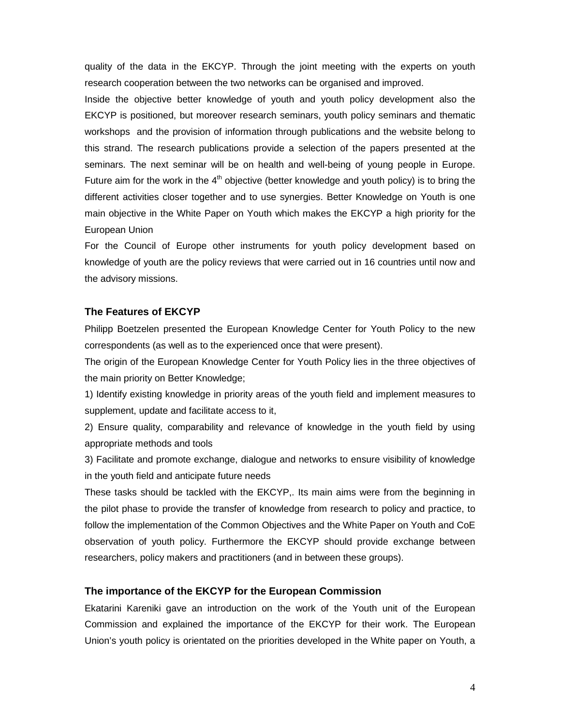quality of the data in the EKCYP. Through the joint meeting with the experts on youth research cooperation between the two networks can be organised and improved.

Inside the objective better knowledge of youth and youth policy development also the EKCYP is positioned, but moreover research seminars, youth policy seminars and thematic workshops and the provision of information through publications and the website belong to this strand. The research publications provide a selection of the papers presented at the seminars. The next seminar will be on health and well-being of young people in Europe. Future aim for the work in the  $4<sup>th</sup>$  objective (better knowledge and youth policy) is to bring the different activities closer together and to use synergies. Better Knowledge on Youth is one main objective in the White Paper on Youth which makes the EKCYP a high priority for the European Union

For the Council of Europe other instruments for youth policy development based on knowledge of youth are the policy reviews that were carried out in 16 countries until now and the advisory missions.

### **The Features of EKCYP**

Philipp Boetzelen presented the European Knowledge Center for Youth Policy to the new correspondents (as well as to the experienced once that were present).

The origin of the European Knowledge Center for Youth Policy lies in the three objectives of the main priority on Better Knowledge;

1) Identify existing knowledge in priority areas of the youth field and implement measures to supplement, update and facilitate access to it,

2) Ensure quality, comparability and relevance of knowledge in the youth field by using appropriate methods and tools

3) Facilitate and promote exchange, dialogue and networks to ensure visibility of knowledge in the youth field and anticipate future needs

These tasks should be tackled with the EKCYP,. Its main aims were from the beginning in the pilot phase to provide the transfer of knowledge from research to policy and practice, to follow the implementation of the Common Objectives and the White Paper on Youth and CoE observation of youth policy. Furthermore the EKCYP should provide exchange between researchers, policy makers and practitioners (and in between these groups).

### **The importance of the EKCYP for the European Commission**

Ekatarini Kareniki gave an introduction on the work of the Youth unit of the European Commission and explained the importance of the EKCYP for their work. The European Union's youth policy is orientated on the priorities developed in the White paper on Youth, a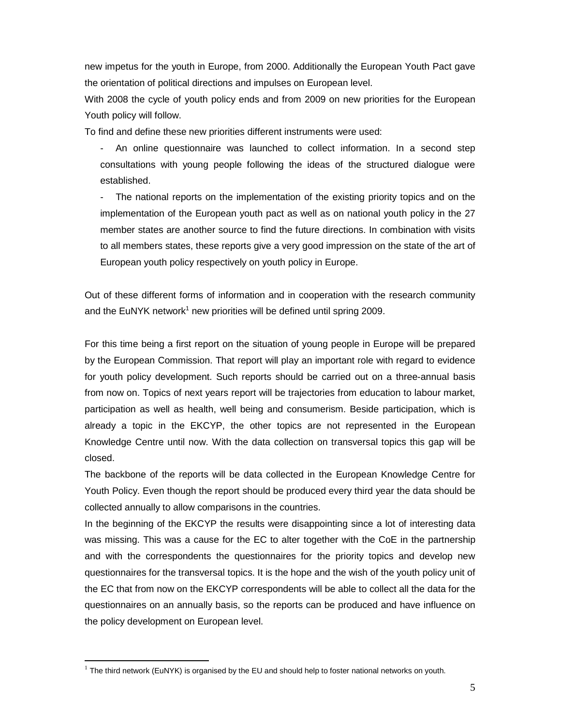new impetus for the youth in Europe, from 2000. Additionally the European Youth Pact gave the orientation of political directions and impulses on European level.

With 2008 the cycle of youth policy ends and from 2009 on new priorities for the European Youth policy will follow.

To find and define these new priorities different instruments were used:

- An online questionnaire was launched to collect information. In a second step consultations with young people following the ideas of the structured dialogue were established.

The national reports on the implementation of the existing priority topics and on the implementation of the European youth pact as well as on national youth policy in the 27 member states are another source to find the future directions. In combination with visits to all members states, these reports give a very good impression on the state of the art of European youth policy respectively on youth policy in Europe.

Out of these different forms of information and in cooperation with the research community and the EuNYK network<sup>1</sup> new priorities will be defined until spring 2009.

For this time being a first report on the situation of young people in Europe will be prepared by the European Commission. That report will play an important role with regard to evidence for youth policy development. Such reports should be carried out on a three-annual basis from now on. Topics of next years report will be trajectories from education to labour market, participation as well as health, well being and consumerism. Beside participation, which is already a topic in the EKCYP, the other topics are not represented in the European Knowledge Centre until now. With the data collection on transversal topics this gap will be closed.

The backbone of the reports will be data collected in the European Knowledge Centre for Youth Policy. Even though the report should be produced every third year the data should be collected annually to allow comparisons in the countries.

In the beginning of the EKCYP the results were disappointing since a lot of interesting data was missing. This was a cause for the EC to alter together with the CoE in the partnership and with the correspondents the questionnaires for the priority topics and develop new questionnaires for the transversal topics. It is the hope and the wish of the youth policy unit of the EC that from now on the EKCYP correspondents will be able to collect all the data for the questionnaires on an annually basis, so the reports can be produced and have influence on the policy development on European level.

-

 $1$  The third network (EuNYK) is organised by the EU and should help to foster national networks on youth.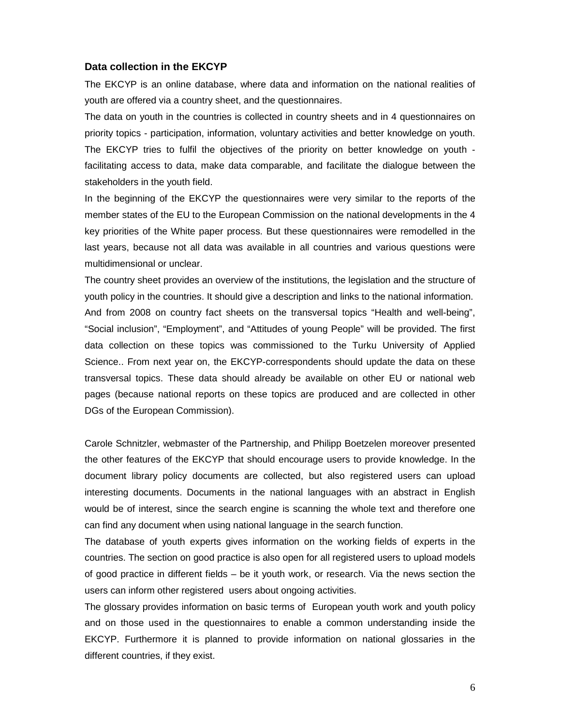#### **Data collection in the EKCYP**

The EKCYP is an online database, where data and information on the national realities of youth are offered via a country sheet, and the questionnaires.

The data on youth in the countries is collected in country sheets and in 4 questionnaires on priority topics - participation, information, voluntary activities and better knowledge on youth. The EKCYP tries to fulfil the objectives of the priority on better knowledge on youth facilitating access to data, make data comparable, and facilitate the dialogue between the stakeholders in the youth field.

In the beginning of the EKCYP the questionnaires were very similar to the reports of the member states of the EU to the European Commission on the national developments in the 4 key priorities of the White paper process. But these questionnaires were remodelled in the last years, because not all data was available in all countries and various questions were multidimensional or unclear.

The country sheet provides an overview of the institutions, the legislation and the structure of youth policy in the countries. It should give a description and links to the national information. And from 2008 on country fact sheets on the transversal topics "Health and well-being", "Social inclusion", "Employment", and "Attitudes of young People" will be provided. The first data collection on these topics was commissioned to the Turku University of Applied Science.. From next year on, the EKCYP-correspondents should update the data on these transversal topics. These data should already be available on other EU or national web pages (because national reports on these topics are produced and are collected in other DGs of the European Commission).

Carole Schnitzler, webmaster of the Partnership, and Philipp Boetzelen moreover presented the other features of the EKCYP that should encourage users to provide knowledge. In the document library policy documents are collected, but also registered users can upload interesting documents. Documents in the national languages with an abstract in English would be of interest, since the search engine is scanning the whole text and therefore one can find any document when using national language in the search function.

The database of youth experts gives information on the working fields of experts in the countries. The section on good practice is also open for all registered users to upload models of good practice in different fields – be it youth work, or research. Via the news section the users can inform other registered users about ongoing activities.

The glossary provides information on basic terms of European youth work and youth policy and on those used in the questionnaires to enable a common understanding inside the EKCYP. Furthermore it is planned to provide information on national glossaries in the different countries, if they exist.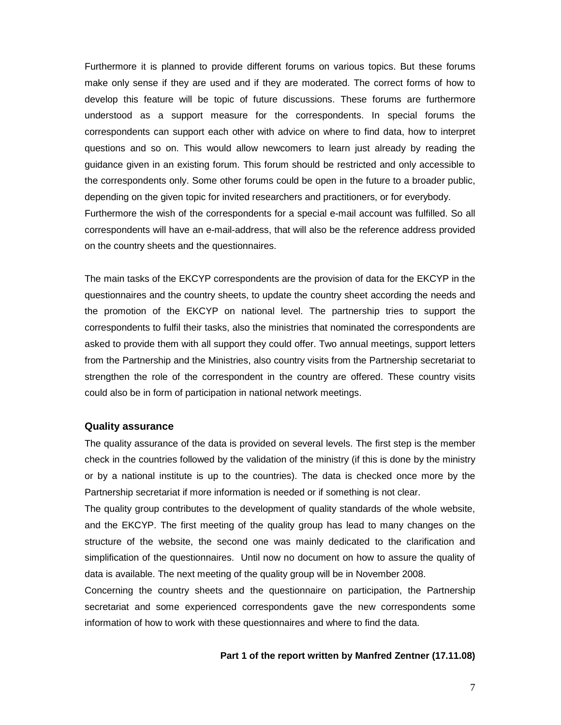Furthermore it is planned to provide different forums on various topics. But these forums make only sense if they are used and if they are moderated. The correct forms of how to develop this feature will be topic of future discussions. These forums are furthermore understood as a support measure for the correspondents. In special forums the correspondents can support each other with advice on where to find data, how to interpret questions and so on. This would allow newcomers to learn just already by reading the guidance given in an existing forum. This forum should be restricted and only accessible to the correspondents only. Some other forums could be open in the future to a broader public, depending on the given topic for invited researchers and practitioners, or for everybody. Furthermore the wish of the correspondents for a special e-mail account was fulfilled. So all correspondents will have an e-mail-address, that will also be the reference address provided on the country sheets and the questionnaires.

The main tasks of the EKCYP correspondents are the provision of data for the EKCYP in the questionnaires and the country sheets, to update the country sheet according the needs and the promotion of the EKCYP on national level. The partnership tries to support the correspondents to fulfil their tasks, also the ministries that nominated the correspondents are asked to provide them with all support they could offer. Two annual meetings, support letters from the Partnership and the Ministries, also country visits from the Partnership secretariat to strengthen the role of the correspondent in the country are offered. These country visits could also be in form of participation in national network meetings.

#### **Quality assurance**

The quality assurance of the data is provided on several levels. The first step is the member check in the countries followed by the validation of the ministry (if this is done by the ministry or by a national institute is up to the countries). The data is checked once more by the Partnership secretariat if more information is needed or if something is not clear.

The quality group contributes to the development of quality standards of the whole website, and the EKCYP. The first meeting of the quality group has lead to many changes on the structure of the website, the second one was mainly dedicated to the clarification and simplification of the questionnaires. Until now no document on how to assure the quality of data is available. The next meeting of the quality group will be in November 2008.

Concerning the country sheets and the questionnaire on participation, the Partnership secretariat and some experienced correspondents gave the new correspondents some information of how to work with these questionnaires and where to find the data.

#### **Part 1 of the report written by Manfred Zentner (17.11.08)**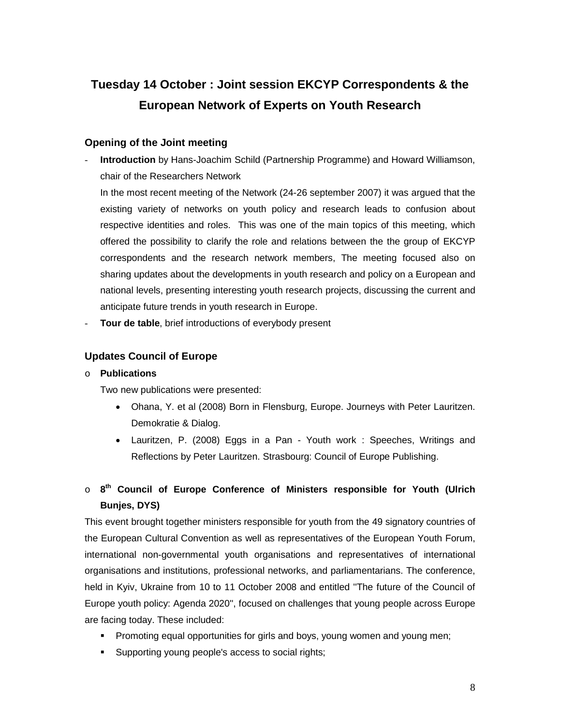# **Tuesday 14 October : Joint session EKCYP Correspondents & the European Network of Experts on Youth Research**

### **Opening of the Joint meeting**

- **Introduction** by Hans-Joachim Schild (Partnership Programme) and Howard Williamson, chair of the Researchers Network

In the most recent meeting of the Network (24-26 september 2007) it was argued that the existing variety of networks on youth policy and research leads to confusion about respective identities and roles. This was one of the main topics of this meeting, which offered the possibility to clarify the role and relations between the the group of EKCYP correspondents and the research network members, The meeting focused also on sharing updates about the developments in youth research and policy on a European and national levels, presenting interesting youth research projects, discussing the current and anticipate future trends in youth research in Europe.

**Tour de table**, brief introductions of everybody present

### **Updates Council of Europe**

### o **Publications**

Two new publications were presented:

- Ohana, Y. et al (2008) Born in Flensburg, Europe. Journeys with Peter Lauritzen. Demokratie & Dialog.
- Lauritzen, P. (2008) Eggs in a Pan Youth work : Speeches, Writings and Reflections by Peter Lauritzen. Strasbourg: Council of Europe Publishing.

### o **8th Council of Europe Conference of Ministers responsible for Youth (Ulrich Bunjes, DYS)**

This event brought together ministers responsible for youth from the 49 signatory countries of the European Cultural Convention as well as representatives of the European Youth Forum, international non-governmental youth organisations and representatives of international organisations and institutions, professional networks, and parliamentarians. The conference, held in Kyiv, Ukraine from 10 to 11 October 2008 and entitled ''The future of the Council of Europe youth policy: Agenda 2020'', focused on challenges that young people across Europe are facing today. These included:

- **Promoting equal opportunities for girls and boys, young women and young men;**
- Supporting young people's access to social rights;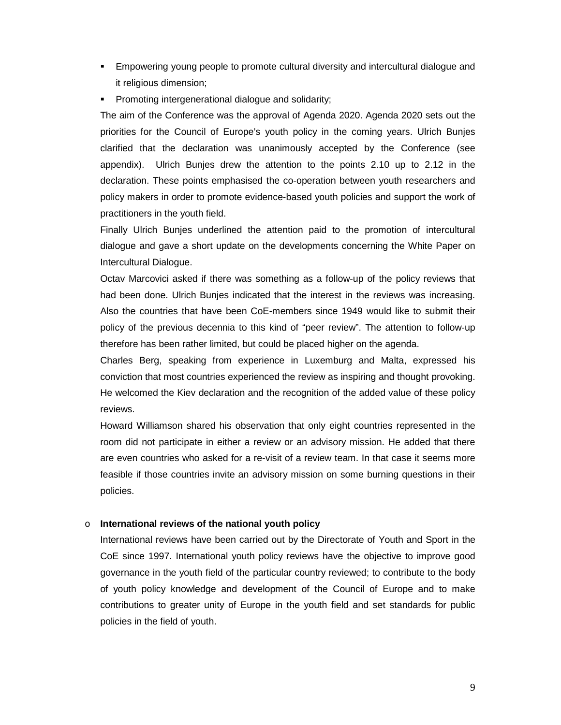- Empowering young people to promote cultural diversity and intercultural dialogue and it religious dimension;
- **Promoting intergenerational dialogue and solidarity;**

The aim of the Conference was the approval of Agenda 2020. Agenda 2020 sets out the priorities for the Council of Europe's youth policy in the coming years. Ulrich Bunjes clarified that the declaration was unanimously accepted by the Conference (see appendix). Ulrich Bunjes drew the attention to the points 2.10 up to 2.12 in the declaration. These points emphasised the co-operation between youth researchers and policy makers in order to promote evidence-based youth policies and support the work of practitioners in the youth field.

Finally Ulrich Bunjes underlined the attention paid to the promotion of intercultural dialogue and gave a short update on the developments concerning the White Paper on Intercultural Dialogue.

Octav Marcovici asked if there was something as a follow-up of the policy reviews that had been done. Ulrich Bunjes indicated that the interest in the reviews was increasing. Also the countries that have been CoE-members since 1949 would like to submit their policy of the previous decennia to this kind of "peer review". The attention to follow-up therefore has been rather limited, but could be placed higher on the agenda.

Charles Berg, speaking from experience in Luxemburg and Malta, expressed his conviction that most countries experienced the review as inspiring and thought provoking. He welcomed the Kiev declaration and the recognition of the added value of these policy reviews.

Howard Williamson shared his observation that only eight countries represented in the room did not participate in either a review or an advisory mission. He added that there are even countries who asked for a re-visit of a review team. In that case it seems more feasible if those countries invite an advisory mission on some burning questions in their policies.

### o **International reviews of the national youth policy**

International reviews have been carried out by the Directorate of Youth and Sport in the CoE since 1997. International youth policy reviews have the objective to improve good governance in the youth field of the particular country reviewed; to contribute to the body of youth policy knowledge and development of the Council of Europe and to make contributions to greater unity of Europe in the youth field and set standards for public policies in the field of youth.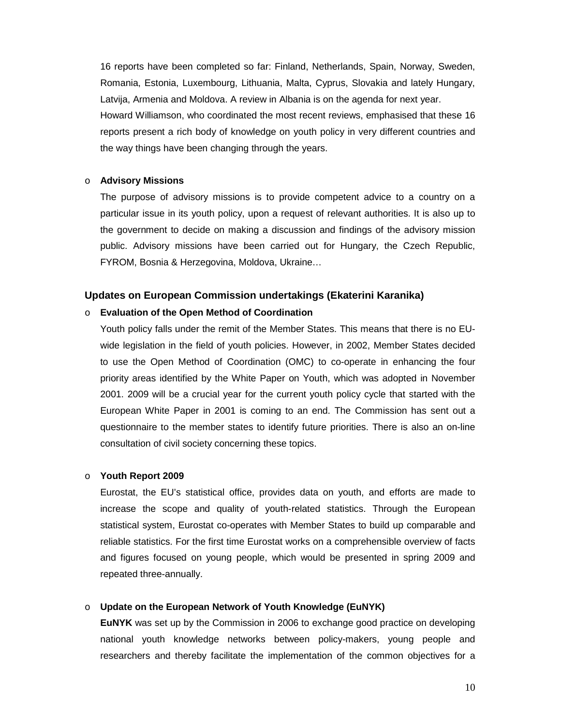16 reports have been completed so far: Finland, Netherlands, Spain, Norway, Sweden, Romania, Estonia, Luxembourg, Lithuania, Malta, Cyprus, Slovakia and lately Hungary, Latvija, Armenia and Moldova. A review in Albania is on the agenda for next year. Howard Williamson, who coordinated the most recent reviews, emphasised that these 16 reports present a rich body of knowledge on youth policy in very different countries and the way things have been changing through the years.

#### o **Advisory Missions**

The purpose of advisory missions is to provide competent advice to a country on a particular issue in its youth policy, upon a request of relevant authorities. It is also up to the government to decide on making a discussion and findings of the advisory mission public. Advisory missions have been carried out for Hungary, the Czech Republic, FYROM, Bosnia & Herzegovina, Moldova, Ukraine…

### **Updates on European Commission undertakings (Ekaterini Karanika)**

### o **Evaluation of the Open Method of Coordination**

Youth policy falls under the remit of the Member States. This means that there is no EUwide legislation in the field of youth policies. However, in 2002, Member States decided to use the Open Method of Coordination (OMC) to co-operate in enhancing the four priority areas identified by the White Paper on Youth, which was adopted in November 2001. 2009 will be a crucial year for the current youth policy cycle that started with the European White Paper in 2001 is coming to an end. The Commission has sent out a questionnaire to the member states to identify future priorities. There is also an on-line consultation of civil society concerning these topics.

### o **Youth Report 2009**

Eurostat, the EU's statistical office, provides data on youth, and efforts are made to increase the scope and quality of youth-related statistics. Through the European statistical system, Eurostat co-operates with Member States to build up comparable and reliable statistics. For the first time Eurostat works on a comprehensible overview of facts and figures focused on young people, which would be presented in spring 2009 and repeated three-annually.

### o **Update on the European Network of Youth Knowledge (EuNYK)**

**EuNYK** was set up by the Commission in 2006 to exchange good practice on developing national youth knowledge networks between policy-makers, young people and researchers and thereby facilitate the implementation of the common objectives for a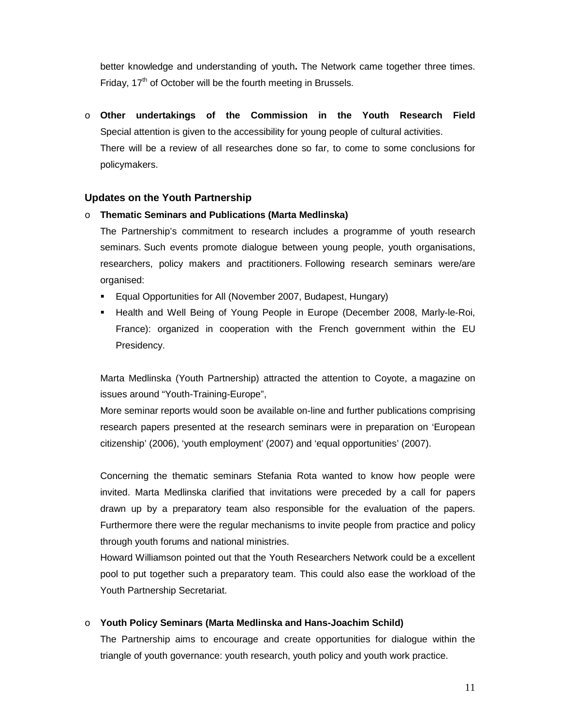better knowledge and understanding of youth**.** The Network came together three times. Friday,  $17<sup>th</sup>$  of October will be the fourth meeting in Brussels.

o **Other undertakings of the Commission in the Youth Research Field**  Special attention is given to the accessibility for young people of cultural activities. There will be a review of all researches done so far, to come to some conclusions for policymakers.

### **Updates on the Youth Partnership**

### o **Thematic Seminars and Publications (Marta Medlinska)**

The Partnership's commitment to research includes a programme of youth research seminars. Such events promote dialogue between young people, youth organisations, researchers, policy makers and practitioners. Following research seminars were/are organised:

- Equal Opportunities for All (November 2007, Budapest, Hungary)
- **EXELGE Health and Well Being of Young People in Europe (December 2008, Marly-le-Roi,** France): organized in cooperation with the French government within the EU Presidency.

Marta Medlinska (Youth Partnership) attracted the attention to Coyote, a magazine on issues around "Youth-Training-Europe",

More seminar reports would soon be available on-line and further publications comprising research papers presented at the research seminars were in preparation on 'European citizenship' (2006), 'youth employment' (2007) and 'equal opportunities' (2007).

Concerning the thematic seminars Stefania Rota wanted to know how people were invited. Marta Medlinska clarified that invitations were preceded by a call for papers drawn up by a preparatory team also responsible for the evaluation of the papers. Furthermore there were the regular mechanisms to invite people from practice and policy through youth forums and national ministries.

Howard Williamson pointed out that the Youth Researchers Network could be a excellent pool to put together such a preparatory team. This could also ease the workload of the Youth Partnership Secretariat.

### o **Youth Policy Seminars (Marta Medlinska and Hans-Joachim Schild)**

The Partnership aims to encourage and create opportunities for dialogue within the triangle of youth governance: youth research, youth policy and youth work practice.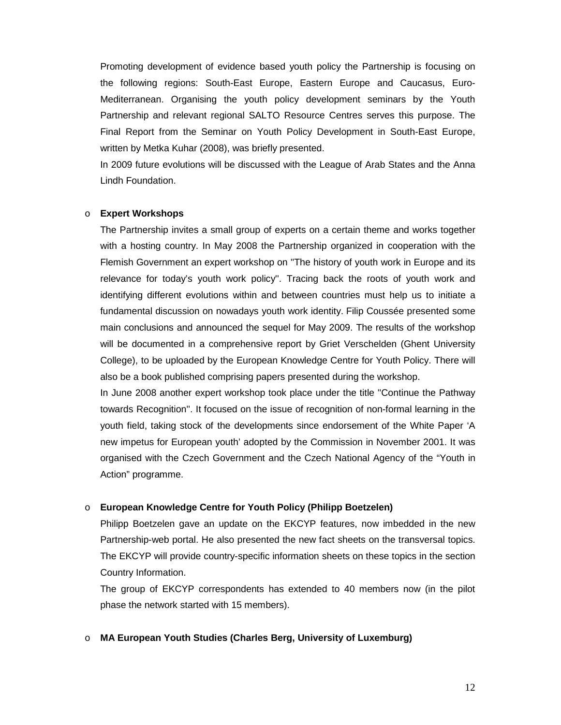Promoting development of evidence based youth policy the Partnership is focusing on the following regions: South-East Europe, Eastern Europe and Caucasus, Euro-Mediterranean. Organising the youth policy development seminars by the Youth Partnership and relevant regional SALTO Resource Centres serves this purpose. The Final Report from the Seminar on Youth Policy Development in South-East Europe, written by Metka Kuhar (2008), was briefly presented.

In 2009 future evolutions will be discussed with the League of Arab States and the Anna Lindh Foundation.

#### o **Expert Workshops**

The Partnership invites a small group of experts on a certain theme and works together with a hosting country. In May 2008 the Partnership organized in cooperation with the Flemish Government an expert workshop on ''The history of youth work in Europe and its relevance for today's youth work policy''. Tracing back the roots of youth work and identifying different evolutions within and between countries must help us to initiate a fundamental discussion on nowadays youth work identity. Filip Coussée presented some main conclusions and announced the sequel for May 2009. The results of the workshop will be documented in a comprehensive report by Griet Verschelden (Ghent University College), to be uploaded by the European Knowledge Centre for Youth Policy. There will also be a book published comprising papers presented during the workshop.

In June 2008 another expert workshop took place under the title ''Continue the Pathway towards Recognition''. It focused on the issue of recognition of non-formal learning in the youth field, taking stock of the developments since endorsement of the White Paper 'A new impetus for European youth' adopted by the Commission in November 2001. It was organised with the Czech Government and the Czech National Agency of the "Youth in Action" programme.

#### o **European Knowledge Centre for Youth Policy (Philipp Boetzelen)**

Philipp Boetzelen gave an update on the EKCYP features, now imbedded in the new Partnership-web portal. He also presented the new fact sheets on the transversal topics. The EKCYP will provide country-specific information sheets on these topics in the section Country Information.

The group of EKCYP correspondents has extended to 40 members now (in the pilot phase the network started with 15 members).

### o **MA European Youth Studies (Charles Berg, University of Luxemburg)**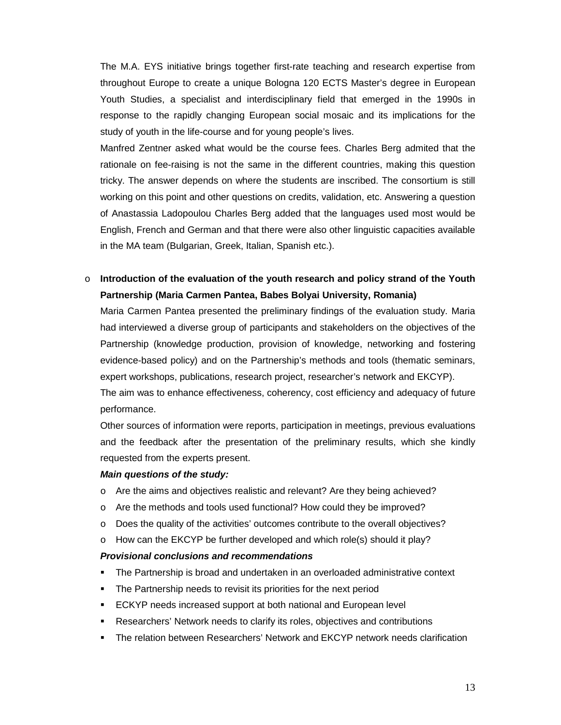The M.A. EYS initiative brings together first-rate teaching and research expertise from throughout Europe to create a unique Bologna 120 ECTS Master's degree in European Youth Studies, a specialist and interdisciplinary field that emerged in the 1990s in response to the rapidly changing European social mosaic and its implications for the study of youth in the life-course and for young people's lives.

Manfred Zentner asked what would be the course fees. Charles Berg admited that the rationale on fee-raising is not the same in the different countries, making this question tricky. The answer depends on where the students are inscribed. The consortium is still working on this point and other questions on credits, validation, etc. Answering a question of Anastassia Ladopoulou Charles Berg added that the languages used most would be English, French and German and that there were also other linguistic capacities available in the MA team (Bulgarian, Greek, Italian, Spanish etc.).

### o **Introduction of the evaluation of the youth research and policy strand of the Youth Partnership (Maria Carmen Pantea, Babes Bolyai University, Romania)**

Maria Carmen Pantea presented the preliminary findings of the evaluation study. Maria had interviewed a diverse group of participants and stakeholders on the objectives of the Partnership (knowledge production, provision of knowledge, networking and fostering evidence-based policy) and on the Partnership's methods and tools (thematic seminars, expert workshops, publications, research project, researcher's network and EKCYP). The aim was to enhance effectiveness, coherency, cost efficiency and adequacy of future

performance.

Other sources of information were reports, participation in meetings, previous evaluations and the feedback after the presentation of the preliminary results, which she kindly requested from the experts present.

### *Main questions of the study:*

- o Are the aims and objectives realistic and relevant? Are they being achieved?
- o Are the methods and tools used functional? How could they be improved?
- o Does the quality of the activities' outcomes contribute to the overall objectives?
- $\circ$  How can the EKCYP be further developed and which role(s) should it play?

### *Provisional conclusions and recommendations*

- The Partnership is broad and undertaken in an overloaded administrative context
- **The Partnership needs to revisit its priorities for the next period**
- **ECKYP** needs increased support at both national and European level
- Researchers' Network needs to clarify its roles, objectives and contributions
- The relation between Researchers' Network and EKCYP network needs clarification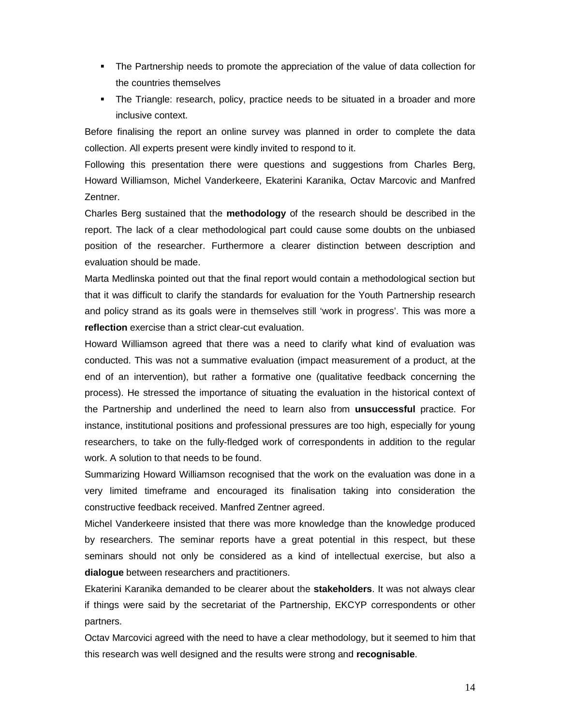- **The Partnership needs to promote the appreciation of the value of data collection for** the countries themselves
- The Triangle: research, policy, practice needs to be situated in a broader and more inclusive context.

Before finalising the report an online survey was planned in order to complete the data collection. All experts present were kindly invited to respond to it.

Following this presentation there were questions and suggestions from Charles Berg, Howard Williamson, Michel Vanderkeere, Ekaterini Karanika, Octav Marcovic and Manfred Zentner.

Charles Berg sustained that the **methodology** of the research should be described in the report. The lack of a clear methodological part could cause some doubts on the unbiased position of the researcher. Furthermore a clearer distinction between description and evaluation should be made.

Marta Medlinska pointed out that the final report would contain a methodological section but that it was difficult to clarify the standards for evaluation for the Youth Partnership research and policy strand as its goals were in themselves still 'work in progress'. This was more a **reflection** exercise than a strict clear-cut evaluation.

Howard Williamson agreed that there was a need to clarify what kind of evaluation was conducted. This was not a summative evaluation (impact measurement of a product, at the end of an intervention), but rather a formative one (qualitative feedback concerning the process). He stressed the importance of situating the evaluation in the historical context of the Partnership and underlined the need to learn also from **unsuccessful** practice. For instance, institutional positions and professional pressures are too high, especially for young researchers, to take on the fully-fledged work of correspondents in addition to the regular work. A solution to that needs to be found.

Summarizing Howard Williamson recognised that the work on the evaluation was done in a very limited timeframe and encouraged its finalisation taking into consideration the constructive feedback received. Manfred Zentner agreed.

Michel Vanderkeere insisted that there was more knowledge than the knowledge produced by researchers. The seminar reports have a great potential in this respect, but these seminars should not only be considered as a kind of intellectual exercise, but also a **dialogue** between researchers and practitioners.

Ekaterini Karanika demanded to be clearer about the **stakeholders**. It was not always clear if things were said by the secretariat of the Partnership, EKCYP correspondents or other partners.

Octav Marcovici agreed with the need to have a clear methodology, but it seemed to him that this research was well designed and the results were strong and **recognisable**.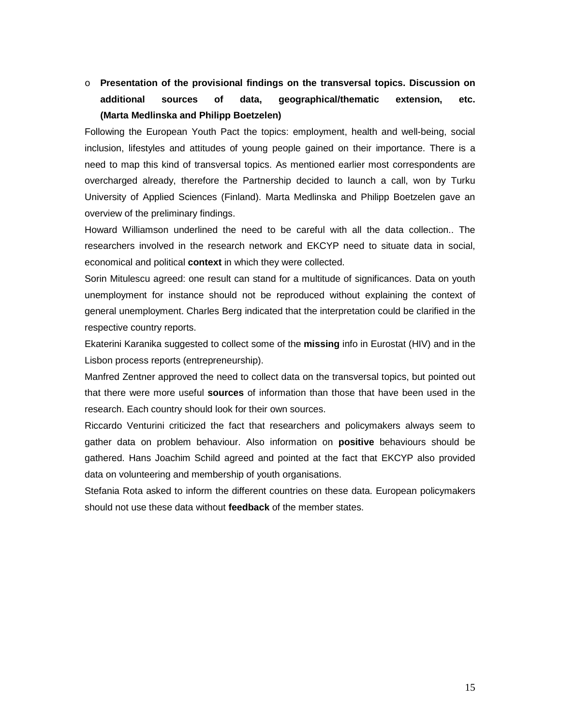### o **Presentation of the provisional findings on the transversal topics. Discussion on additional sources of data, geographical/thematic extension, etc. (Marta Medlinska and Philipp Boetzelen)**

Following the European Youth Pact the topics: employment, health and well-being, social inclusion, lifestyles and attitudes of young people gained on their importance. There is a need to map this kind of transversal topics. As mentioned earlier most correspondents are overcharged already, therefore the Partnership decided to launch a call, won by Turku University of Applied Sciences (Finland). Marta Medlinska and Philipp Boetzelen gave an overview of the preliminary findings.

Howard Williamson underlined the need to be careful with all the data collection.. The researchers involved in the research network and EKCYP need to situate data in social, economical and political **context** in which they were collected.

Sorin Mitulescu agreed: one result can stand for a multitude of significances. Data on youth unemployment for instance should not be reproduced without explaining the context of general unemployment. Charles Berg indicated that the interpretation could be clarified in the respective country reports.

Ekaterini Karanika suggested to collect some of the **missing** info in Eurostat (HIV) and in the Lisbon process reports (entrepreneurship).

Manfred Zentner approved the need to collect data on the transversal topics, but pointed out that there were more useful **sources** of information than those that have been used in the research. Each country should look for their own sources.

Riccardo Venturini criticized the fact that researchers and policymakers always seem to gather data on problem behaviour. Also information on **positive** behaviours should be gathered. Hans Joachim Schild agreed and pointed at the fact that EKCYP also provided data on volunteering and membership of youth organisations.

Stefania Rota asked to inform the different countries on these data. European policymakers should not use these data without **feedback** of the member states.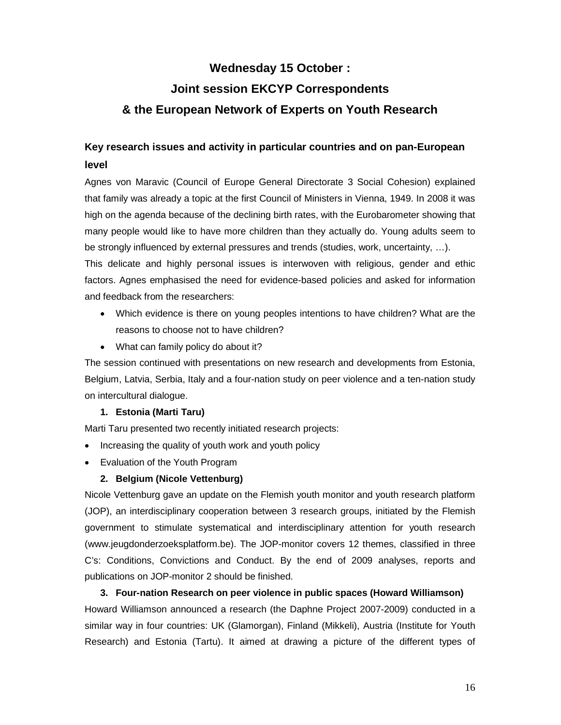### **Wednesday 15 October :**

# **Joint session EKCYP Correspondents & the European Network of Experts on Youth Research**

### **Key research issues and activity in particular countries and on pan-European level**

Agnes von Maravic (Council of Europe General Directorate 3 Social Cohesion) explained that family was already a topic at the first Council of Ministers in Vienna, 1949. In 2008 it was high on the agenda because of the declining birth rates, with the Eurobarometer showing that many people would like to have more children than they actually do. Young adults seem to be strongly influenced by external pressures and trends (studies, work, uncertainty, …).

This delicate and highly personal issues is interwoven with religious, gender and ethic factors. Agnes emphasised the need for evidence-based policies and asked for information and feedback from the researchers:

- Which evidence is there on young peoples intentions to have children? What are the reasons to choose not to have children?
- What can family policy do about it?

The session continued with presentations on new research and developments from Estonia, Belgium, Latvia, Serbia, Italy and a four-nation study on peer violence and a ten-nation study on intercultural dialogue.

### **1. Estonia (Marti Taru)**

Marti Taru presented two recently initiated research projects:

- Increasing the quality of youth work and youth policy
- Evaluation of the Youth Program

### **2. Belgium (Nicole Vettenburg)**

Nicole Vettenburg gave an update on the Flemish youth monitor and youth research platform (JOP), an interdisciplinary cooperation between 3 research groups, initiated by the Flemish government to stimulate systematical and interdisciplinary attention for youth research (www.jeugdonderzoeksplatform.be). The JOP-monitor covers 12 themes, classified in three C's: Conditions, Convictions and Conduct. By the end of 2009 analyses, reports and publications on JOP-monitor 2 should be finished.

### **3. Four-nation Research on peer violence in public spaces (Howard Williamson)**

Howard Williamson announced a research (the Daphne Project 2007-2009) conducted in a similar way in four countries: UK (Glamorgan), Finland (Mikkeli), Austria (Institute for Youth Research) and Estonia (Tartu). It aimed at drawing a picture of the different types of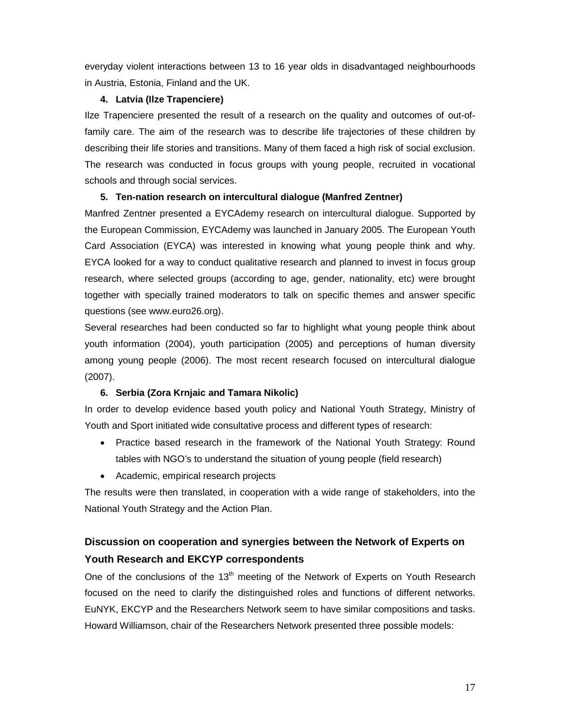everyday violent interactions between 13 to 16 year olds in disadvantaged neighbourhoods in Austria, Estonia, Finland and the UK.

### **4. Latvia (Ilze Trapenciere)**

Ilze Trapenciere presented the result of a research on the quality and outcomes of out-offamily care. The aim of the research was to describe life trajectories of these children by describing their life stories and transitions. Many of them faced a high risk of social exclusion. The research was conducted in focus groups with young people, recruited in vocational schools and through social services.

### **5. Ten-nation research on intercultural dialogue (Manfred Zentner)**

Manfred Zentner presented a EYCAdemy research on intercultural dialogue. Supported by the European Commission, EYCAdemy was launched in January 2005. The European Youth Card Association (EYCA) was interested in knowing what young people think and why. EYCA looked for a way to conduct qualitative research and planned to invest in focus group research, where selected groups (according to age, gender, nationality, etc) were brought together with specially trained moderators to talk on specific themes and answer specific questions (see www.euro26.org).

Several researches had been conducted so far to highlight what young people think about youth information (2004), youth participation (2005) and perceptions of human diversity among young people (2006). The most recent research focused on intercultural dialogue (2007).

### **6. Serbia (Zora Krnjaic and Tamara Nikolic)**

In order to develop evidence based youth policy and National Youth Strategy, Ministry of Youth and Sport initiated wide consultative process and different types of research:

- Practice based research in the framework of the National Youth Strategy: Round tables with NGO's to understand the situation of young people (field research)
- Academic, empirical research projects

The results were then translated, in cooperation with a wide range of stakeholders, into the National Youth Strategy and the Action Plan.

## **Discussion on cooperation and synergies between the Network of Experts on Youth Research and EKCYP correspondents**

One of the conclusions of the 13<sup>th</sup> meeting of the Network of Experts on Youth Research focused on the need to clarify the distinguished roles and functions of different networks. EuNYK, EKCYP and the Researchers Network seem to have similar compositions and tasks. Howard Williamson, chair of the Researchers Network presented three possible models: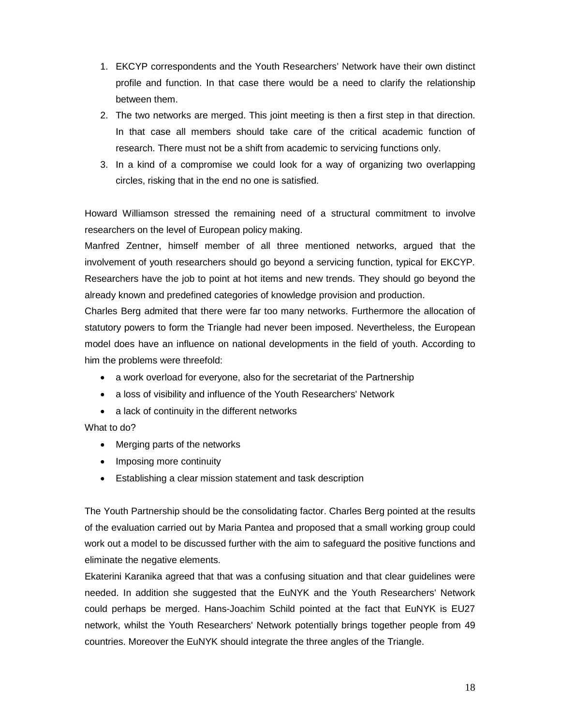- 1. EKCYP correspondents and the Youth Researchers' Network have their own distinct profile and function. In that case there would be a need to clarify the relationship between them.
- 2. The two networks are merged. This joint meeting is then a first step in that direction. In that case all members should take care of the critical academic function of research. There must not be a shift from academic to servicing functions only.
- 3. In a kind of a compromise we could look for a way of organizing two overlapping circles, risking that in the end no one is satisfied.

Howard Williamson stressed the remaining need of a structural commitment to involve researchers on the level of European policy making.

Manfred Zentner, himself member of all three mentioned networks, argued that the involvement of youth researchers should go beyond a servicing function, typical for EKCYP. Researchers have the job to point at hot items and new trends. They should go beyond the already known and predefined categories of knowledge provision and production.

Charles Berg admited that there were far too many networks. Furthermore the allocation of statutory powers to form the Triangle had never been imposed. Nevertheless, the European model does have an influence on national developments in the field of youth. According to him the problems were threefold:

- a work overload for everyone, also for the secretariat of the Partnership
- a loss of visibility and influence of the Youth Researchers' Network
- a lack of continuity in the different networks

What to do?

- Merging parts of the networks
- Imposing more continuity
- Establishing a clear mission statement and task description

The Youth Partnership should be the consolidating factor. Charles Berg pointed at the results of the evaluation carried out by Maria Pantea and proposed that a small working group could work out a model to be discussed further with the aim to safeguard the positive functions and eliminate the negative elements.

Ekaterini Karanika agreed that that was a confusing situation and that clear guidelines were needed. In addition she suggested that the EuNYK and the Youth Researchers' Network could perhaps be merged. Hans-Joachim Schild pointed at the fact that EuNYK is EU27 network, whilst the Youth Researchers' Network potentially brings together people from 49 countries. Moreover the EuNYK should integrate the three angles of the Triangle.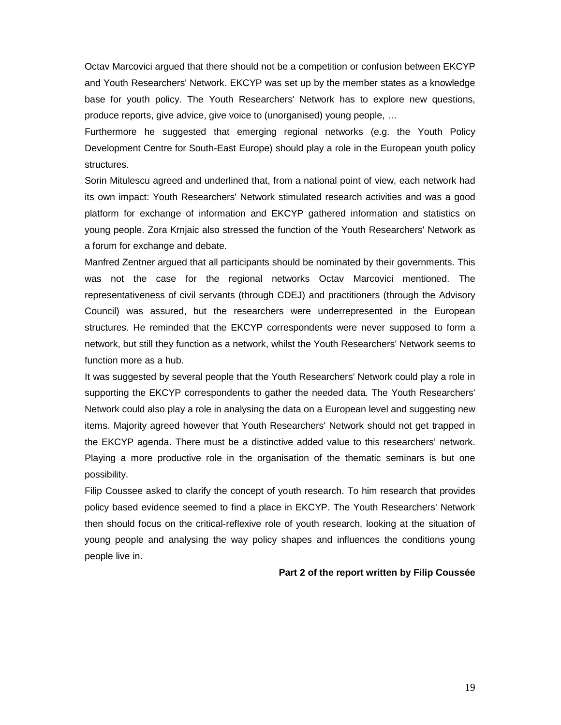Octav Marcovici argued that there should not be a competition or confusion between EKCYP and Youth Researchers' Network. EKCYP was set up by the member states as a knowledge base for youth policy. The Youth Researchers' Network has to explore new questions, produce reports, give advice, give voice to (unorganised) young people, …

Furthermore he suggested that emerging regional networks (e.g. the Youth Policy Development Centre for South-East Europe) should play a role in the European youth policy structures.

Sorin Mitulescu agreed and underlined that, from a national point of view, each network had its own impact: Youth Researchers' Network stimulated research activities and was a good platform for exchange of information and EKCYP gathered information and statistics on young people. Zora Krnjaic also stressed the function of the Youth Researchers' Network as a forum for exchange and debate.

Manfred Zentner argued that all participants should be nominated by their governments. This was not the case for the regional networks Octav Marcovici mentioned. The representativeness of civil servants (through CDEJ) and practitioners (through the Advisory Council) was assured, but the researchers were underrepresented in the European structures. He reminded that the EKCYP correspondents were never supposed to form a network, but still they function as a network, whilst the Youth Researchers' Network seems to function more as a hub.

It was suggested by several people that the Youth Researchers' Network could play a role in supporting the EKCYP correspondents to gather the needed data. The Youth Researchers' Network could also play a role in analysing the data on a European level and suggesting new items. Majority agreed however that Youth Researchers' Network should not get trapped in the EKCYP agenda. There must be a distinctive added value to this researchers' network. Playing a more productive role in the organisation of the thematic seminars is but one possibility.

Filip Coussee asked to clarify the concept of youth research. To him research that provides policy based evidence seemed to find a place in EKCYP. The Youth Researchers' Network then should focus on the critical-reflexive role of youth research, looking at the situation of young people and analysing the way policy shapes and influences the conditions young people live in.

#### **Part 2 of the report written by Filip Coussée**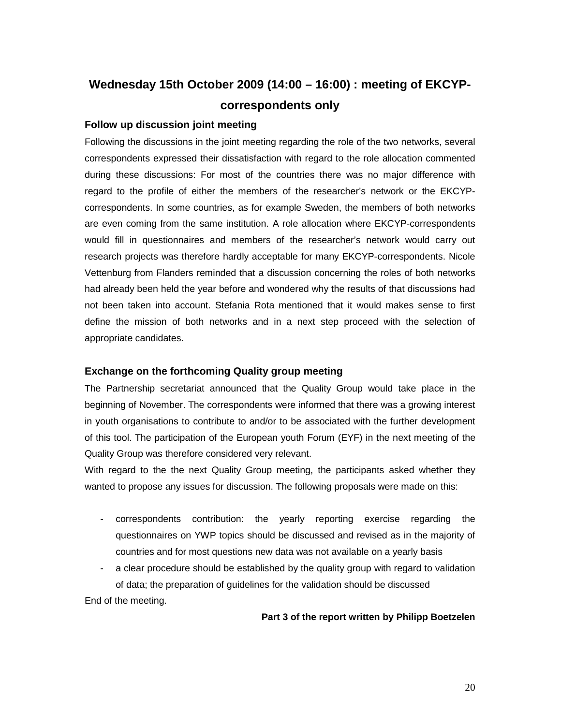# **Wednesday 15th October 2009 (14:00 – 16:00) : meeting of EKCYPcorrespondents only**

### **Follow up discussion joint meeting**

Following the discussions in the joint meeting regarding the role of the two networks, several correspondents expressed their dissatisfaction with regard to the role allocation commented during these discussions: For most of the countries there was no major difference with regard to the profile of either the members of the researcher's network or the EKCYPcorrespondents. In some countries, as for example Sweden, the members of both networks are even coming from the same institution. A role allocation where EKCYP-correspondents would fill in questionnaires and members of the researcher's network would carry out research projects was therefore hardly acceptable for many EKCYP-correspondents. Nicole Vettenburg from Flanders reminded that a discussion concerning the roles of both networks had already been held the year before and wondered why the results of that discussions had not been taken into account. Stefania Rota mentioned that it would makes sense to first define the mission of both networks and in a next step proceed with the selection of appropriate candidates.

### **Exchange on the forthcoming Quality group meeting**

The Partnership secretariat announced that the Quality Group would take place in the beginning of November. The correspondents were informed that there was a growing interest in youth organisations to contribute to and/or to be associated with the further development of this tool. The participation of the European youth Forum (EYF) in the next meeting of the Quality Group was therefore considered very relevant.

With regard to the the next Quality Group meeting, the participants asked whether they wanted to propose any issues for discussion. The following proposals were made on this:

- correspondents contribution: the yearly reporting exercise regarding the questionnaires on YWP topics should be discussed and revised as in the majority of countries and for most questions new data was not available on a yearly basis
- a clear procedure should be established by the quality group with regard to validation of data; the preparation of guidelines for the validation should be discussed

End of the meeting.

### **Part 3 of the report written by Philipp Boetzelen**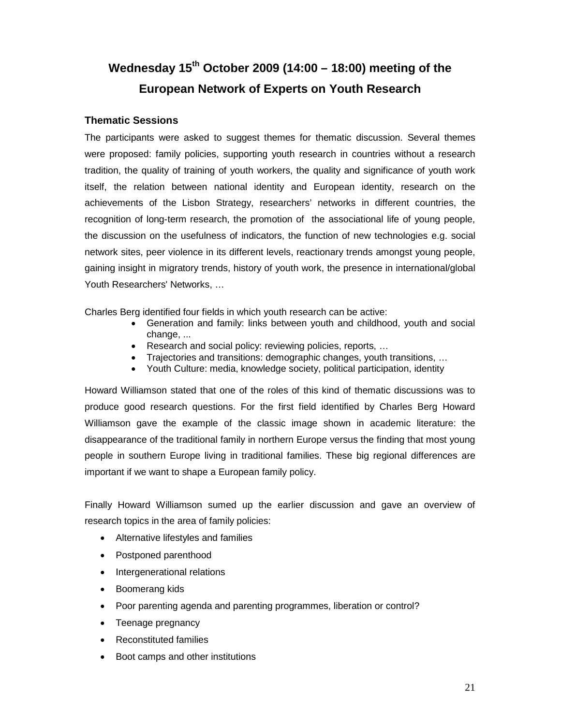# **Wednesday 15th October 2009 (14:00 – 18:00) meeting of the European Network of Experts on Youth Research**

### **Thematic Sessions**

The participants were asked to suggest themes for thematic discussion. Several themes were proposed: family policies, supporting youth research in countries without a research tradition, the quality of training of youth workers, the quality and significance of youth work itself, the relation between national identity and European identity, research on the achievements of the Lisbon Strategy, researchers' networks in different countries, the recognition of long-term research, the promotion of the associational life of young people, the discussion on the usefulness of indicators, the function of new technologies e.g. social network sites, peer violence in its different levels, reactionary trends amongst young people, gaining insight in migratory trends, history of youth work, the presence in international/global Youth Researchers' Networks, …

Charles Berg identified four fields in which youth research can be active:

- Generation and family: links between youth and childhood, youth and social change, ...
- Research and social policy: reviewing policies, reports, …
- Trajectories and transitions: demographic changes, youth transitions, …
- Youth Culture: media, knowledge society, political participation, identity

Howard Williamson stated that one of the roles of this kind of thematic discussions was to produce good research questions. For the first field identified by Charles Berg Howard Williamson gave the example of the classic image shown in academic literature: the disappearance of the traditional family in northern Europe versus the finding that most young people in southern Europe living in traditional families. These big regional differences are important if we want to shape a European family policy.

Finally Howard Williamson sumed up the earlier discussion and gave an overview of research topics in the area of family policies:

- Alternative lifestyles and families
- Postponed parenthood
- Intergenerational relations
- Boomerang kids
- Poor parenting agenda and parenting programmes, liberation or control?
- Teenage pregnancy
- Reconstituted families
- Boot camps and other institutions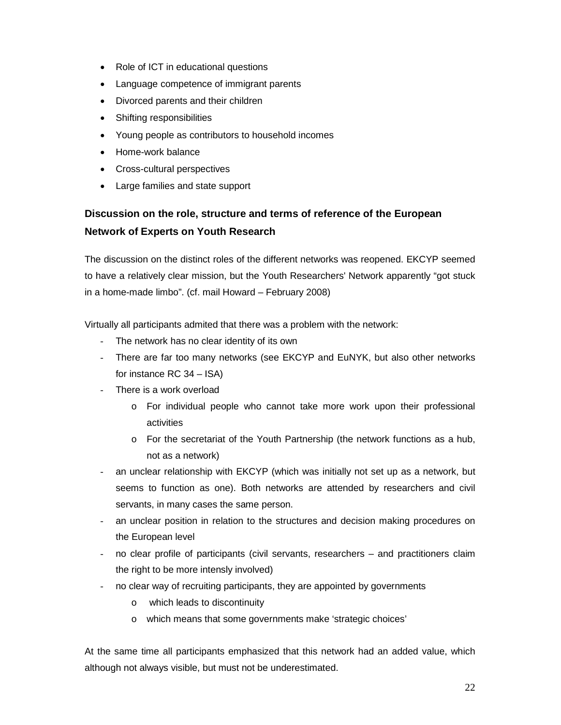- Role of ICT in educational questions
- Language competence of immigrant parents
- Divorced parents and their children
- Shifting responsibilities
- Young people as contributors to household incomes
- Home-work balance
- Cross-cultural perspectives
- Large families and state support

# **Discussion on the role, structure and terms of reference of the European Network of Experts on Youth Research**

The discussion on the distinct roles of the different networks was reopened. EKCYP seemed to have a relatively clear mission, but the Youth Researchers' Network apparently "got stuck in a home-made limbo". (cf. mail Howard – February 2008)

Virtually all participants admited that there was a problem with the network:

- The network has no clear identity of its own
- There are far too many networks (see EKCYP and EuNYK, but also other networks for instance RC 34 – ISA)
- There is a work overload
	- o For individual people who cannot take more work upon their professional activities
	- $\circ$  For the secretariat of the Youth Partnership (the network functions as a hub, not as a network)
- an unclear relationship with EKCYP (which was initially not set up as a network, but seems to function as one). Both networks are attended by researchers and civil servants, in many cases the same person.
- an unclear position in relation to the structures and decision making procedures on the European level
- no clear profile of participants (civil servants, researchers and practitioners claim the right to be more intensly involved)
- no clear way of recruiting participants, they are appointed by governments
	- o which leads to discontinuity
	- o which means that some governments make 'strategic choices'

At the same time all participants emphasized that this network had an added value, which although not always visible, but must not be underestimated.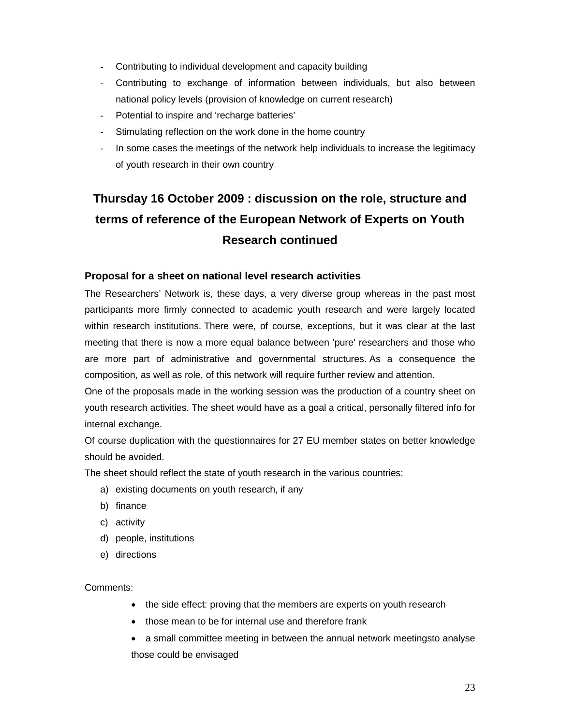- Contributing to individual development and capacity building
- Contributing to exchange of information between individuals, but also between national policy levels (provision of knowledge on current research)
- Potential to inspire and 'recharge batteries'
- Stimulating reflection on the work done in the home country
- In some cases the meetings of the network help individuals to increase the legitimacy of youth research in their own country

# **Thursday 16 October 2009 : discussion on the role, structure and terms of reference of the European Network of Experts on Youth Research continued**

### **Proposal for a sheet on national level research activities**

The Researchers' Network is, these days, a very diverse group whereas in the past most participants more firmly connected to academic youth research and were largely located within research institutions. There were, of course, exceptions, but it was clear at the last meeting that there is now a more equal balance between 'pure' researchers and those who are more part of administrative and governmental structures. As a consequence the composition, as well as role, of this network will require further review and attention.

One of the proposals made in the working session was the production of a country sheet on youth research activities. The sheet would have as a goal a critical, personally filtered info for internal exchange.

Of course duplication with the questionnaires for 27 EU member states on better knowledge should be avoided.

The sheet should reflect the state of youth research in the various countries:

- a) existing documents on youth research, if any
- b) finance
- c) activity
- d) people, institutions
- e) directions

Comments:

- the side effect: proving that the members are experts on youth research
- those mean to be for internal use and therefore frank
- a small committee meeting in between the annual network meetingsto analyse those could be envisaged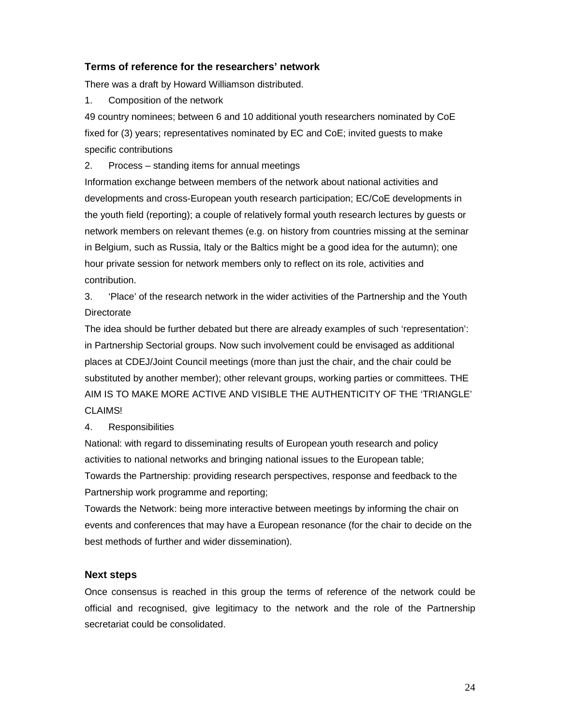### **Terms of reference for the researchers' network**

There was a draft by Howard Williamson distributed.

1. Composition of the network

49 country nominees; between 6 and 10 additional youth researchers nominated by CoE fixed for (3) years; representatives nominated by EC and CoE; invited guests to make specific contributions

2. Process – standing items for annual meetings

Information exchange between members of the network about national activities and developments and cross-European youth research participation; EC/CoE developments in the youth field (reporting); a couple of relatively formal youth research lectures by guests or network members on relevant themes (e.g. on history from countries missing at the seminar in Belgium, such as Russia, Italy or the Baltics might be a good idea for the autumn); one hour private session for network members only to reflect on its role, activities and contribution.

3. 'Place' of the research network in the wider activities of the Partnership and the Youth **Directorate** 

The idea should be further debated but there are already examples of such 'representation': in Partnership Sectorial groups. Now such involvement could be envisaged as additional places at CDEJ/Joint Council meetings (more than just the chair, and the chair could be substituted by another member); other relevant groups, working parties or committees. THE AIM IS TO MAKE MORE ACTIVE AND VISIBLE THE AUTHENTICITY OF THE 'TRIANGLE' CLAIMS!

### 4. Responsibilities

National: with regard to disseminating results of European youth research and policy activities to national networks and bringing national issues to the European table; Towards the Partnership: providing research perspectives, response and feedback to the Partnership work programme and reporting;

Towards the Network: being more interactive between meetings by informing the chair on events and conferences that may have a European resonance (for the chair to decide on the best methods of further and wider dissemination).

### **Next steps**

Once consensus is reached in this group the terms of reference of the network could be official and recognised, give legitimacy to the network and the role of the Partnership secretariat could be consolidated.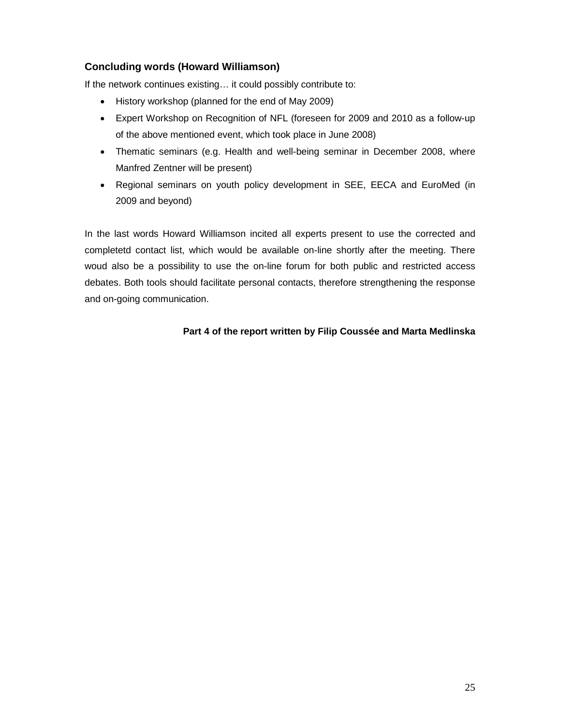### **Concluding words (Howard Williamson)**

If the network continues existing… it could possibly contribute to:

- History workshop (planned for the end of May 2009)
- Expert Workshop on Recognition of NFL (foreseen for 2009 and 2010 as a follow-up of the above mentioned event, which took place in June 2008)
- Thematic seminars (e.g. Health and well-being seminar in December 2008, where Manfred Zentner will be present)
- Regional seminars on youth policy development in SEE, EECA and EuroMed (in 2009 and beyond)

In the last words Howard Williamson incited all experts present to use the corrected and completetd contact list, which would be available on-line shortly after the meeting. There woud also be a possibility to use the on-line forum for both public and restricted access debates. Both tools should facilitate personal contacts, therefore strengthening the response and on-going communication.

### **Part 4 of the report written by Filip Coussée and Marta Medlinska**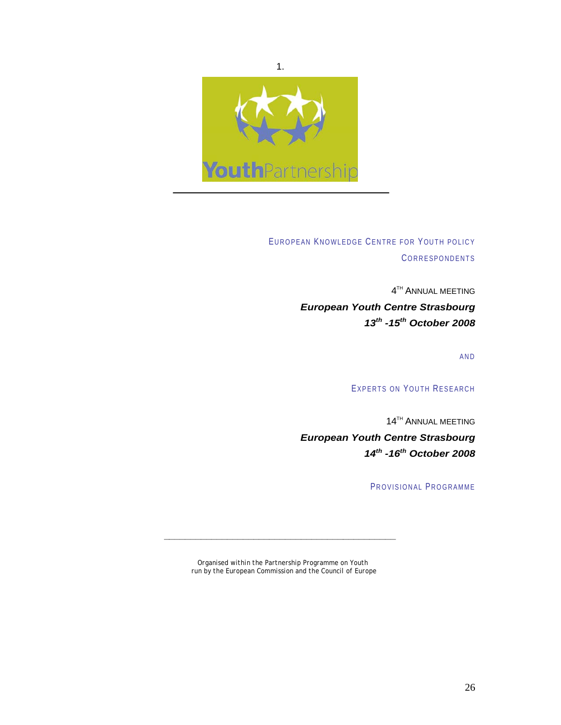

EUROPEAN KNOWLEDGE CENTRE FOR YOUTH POLICY **CORRESPONDENTS** 

> **4TH ANNUAL MEETING** *European Youth Centre Strasbourg 13th -15th October 2008*

> > AND

EXPERTS ON YOUTH RESEARCH

14TH ANNUAL MEETING

*European Youth Centre Strasbourg 14th -16th October 2008* 

PROVISIONAL PROGRAMME

*Organised within the Partnership Programme on Youth run by the European Commission and the Council of Europe*

**\_\_\_\_\_\_\_\_\_\_\_\_\_\_\_\_\_\_\_\_\_\_\_\_\_\_\_\_\_\_\_\_\_\_\_\_\_\_\_\_\_\_\_\_**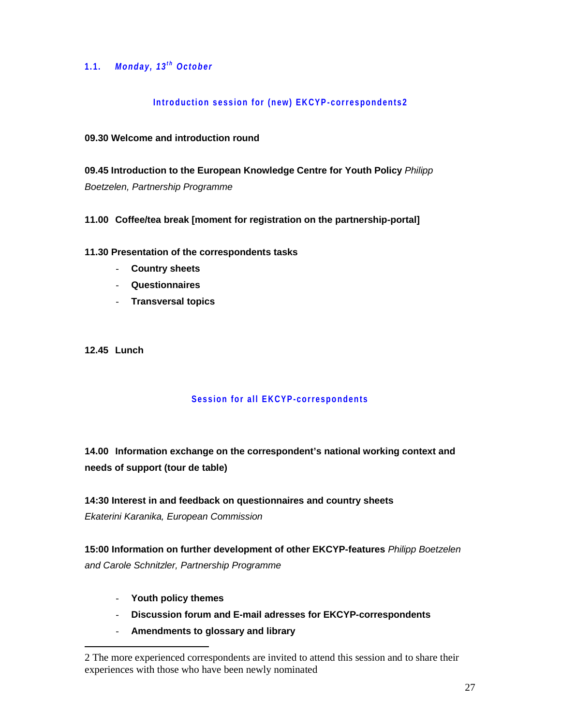### 1.1. *Monday, 13<sup>th</sup> October*

### **Introduction session for (new) EKCYP-correspondents2**

### **09.30 Welcome and introduction round**

**09.45 Introduction to the European Knowledge Centre for Youth Policy** *Philipp Boetzelen, Partnership Programme*

### **11.00 Coffee/tea break [moment for registration on the partnership-portal]**

### **11.30 Presentation of the correspondents tasks**

- **Country sheets**
- **Questionnaires**
- **Transversal topics**

**12.45 Lunch** 

-

### **Session for all EKCYP-correspondents**

**14.00 Information exchange on the correspondent's national working context and needs of support (tour de table)** 

# **14:30 Interest in and feedback on questionnaires and country sheets**

*Ekaterini Karanika, European Commission* 

**15:00 Information on further development of other EKCYP-features** *Philipp Boetzelen and Carole Schnitzler, Partnership Programme*

- **Youth policy themes**
- **Discussion forum and E-mail adresses for EKCYP-correspondents**
- **Amendments to glossary and library**

<sup>2</sup> The more experienced correspondents are invited to attend this session and to share their experiences with those who have been newly nominated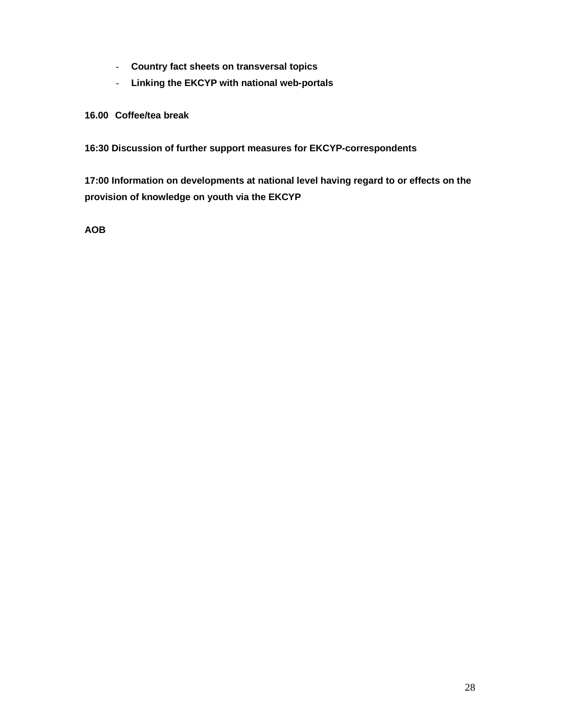- **Country fact sheets on transversal topics**
- **Linking the EKCYP with national web-portals**

### **16.00 Coffee/tea break**

**16:30 Discussion of further support measures for EKCYP-correspondents** 

**17:00 Information on developments at national level having regard to or effects on the provision of knowledge on youth via the EKCYP** 

**AOB**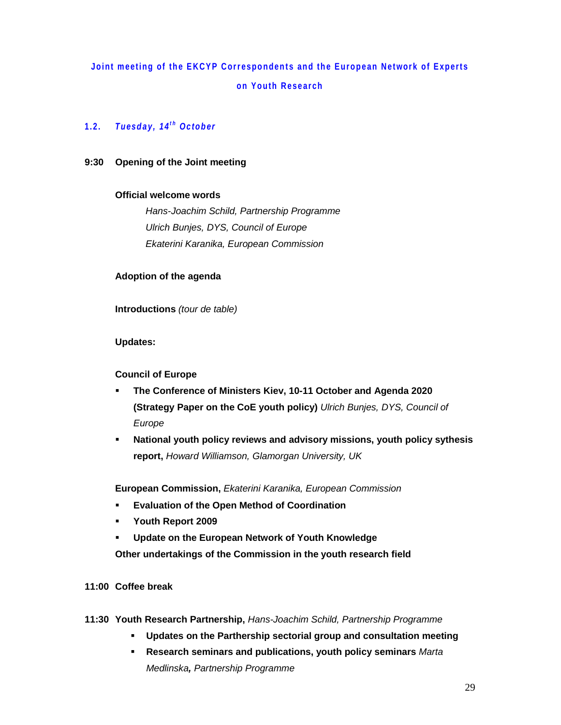# **Joint meeting of the EKCYP Correspondents and the European Network of Experts on Youth Research**

### 1.2. **Tuesday, 14<sup>th</sup> October**

### **9:30 Opening of the Joint meeting**

### **Official welcome words**

*Hans-Joachim Schild, Partnership Programme Ulrich Bunjes, DYS, Council of Europe Ekaterini Karanika, European Commission* 

### **Adoption of the agenda**

**Introductions** *(tour de table)*

### **Updates:**

### **Council of Europe**

- **The Conference of Ministers Kiev, 10-11 October and Agenda 2020 (Strategy Paper on the CoE youth policy)** *Ulrich Bunjes, DYS, Council of Europe*
- **National youth policy reviews and advisory missions, youth policy sythesis report,** *Howard Williamson, Glamorgan University, UK*

**European Commission,** *Ekaterini Karanika, European Commission*

- **Evaluation of the Open Method of Coordination**
- **Youth Report 2009**
- **Update on the European Network of Youth Knowledge**

**Other undertakings of the Commission in the youth research field** 

- **11:00 Coffee break**
- **11:30 Youth Research Partnership,** *Hans-Joachim Schild, Partnership Programme*
	- **Updates on the Parthership sectorial group and consultation meeting**
	- **Research seminars and publications, youth policy seminars** *Marta Medlinska, Partnership Programme*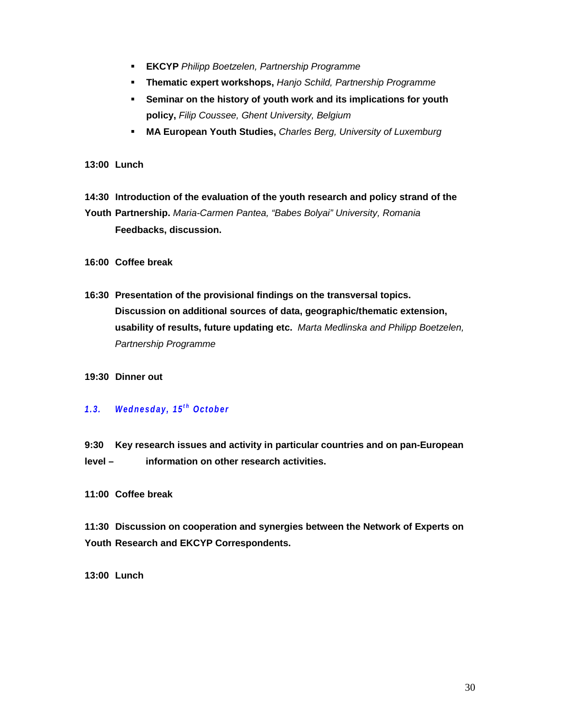- **EKCYP** *Philipp Boetzelen, Partnership Programme*
- **Thematic expert workshops,** *Hanjo Schild, Partnership Programme*
- **Seminar on the history of youth work and its implications for youth policy,** *Filip Coussee, Ghent University, Belgium*
- **MA European Youth Studies,** *Charles Berg, University of Luxemburg*
- **13:00 Lunch**
- **14:30 Introduction of the evaluation of the youth research and policy strand of the**

**Youth Partnership.** *Maria-Carmen Pantea, "Babes Bolyai" University, Romania*   **Feedbacks, discussion.** 

**16:00 Coffee break** 

**16:30 Presentation of the provisional findings on the transversal topics. Discussion on additional sources of data, geographic/thematic extension, usability of results, future updating etc.** *Marta Medlinska and Philipp Boetzelen, Partnership Programme*

### **19:30 Dinner out**

### *1 . 3 . W e d n e s d a y , 1 5t h October*

**9:30 Key research issues and activity in particular countries and on pan-European level – information on other research activities.** 

**11:00 Coffee break** 

**11:30 Discussion on cooperation and synergies between the Network of Experts on Youth Research and EKCYP Correspondents.** 

**13:00 Lunch**